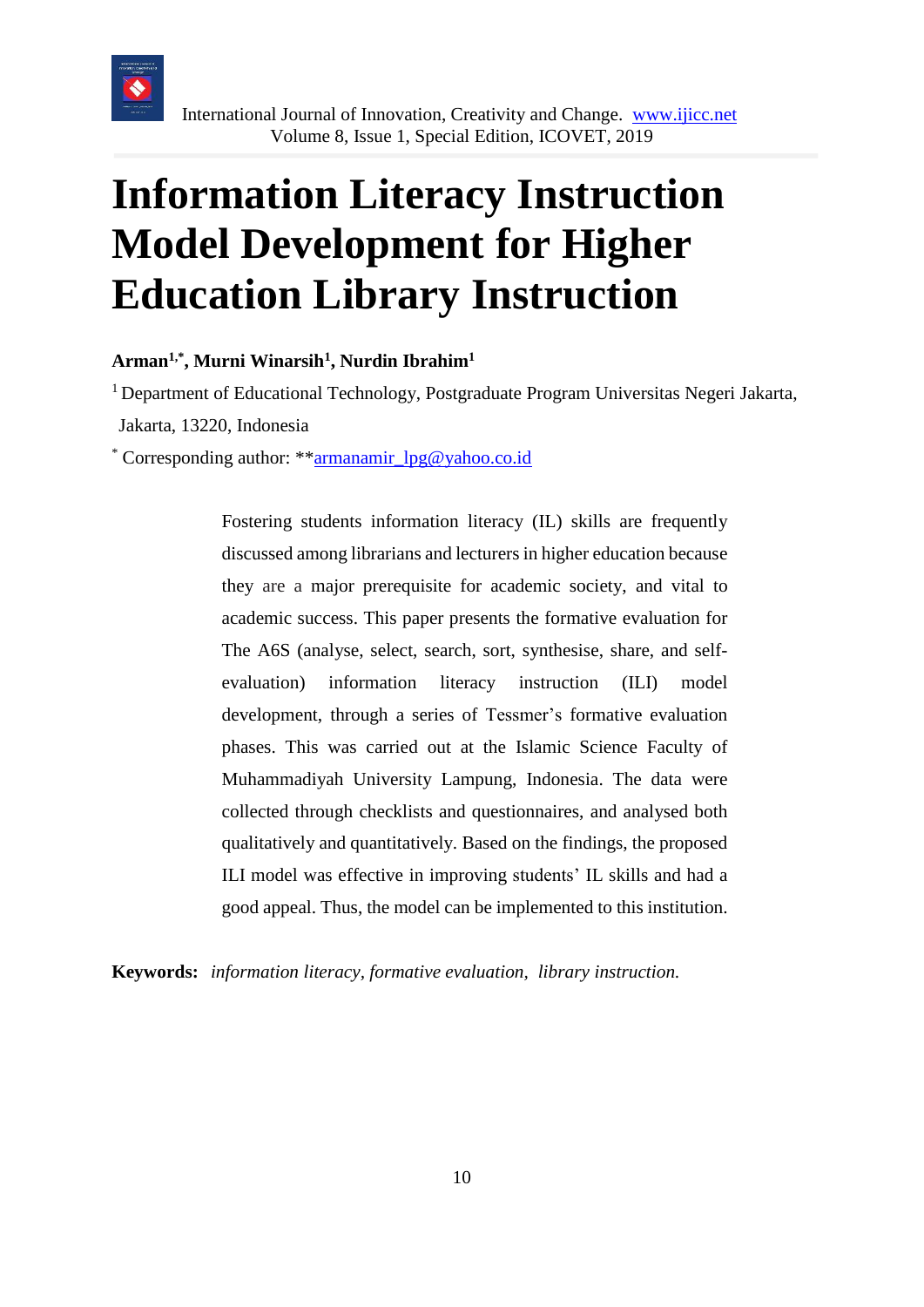

# **Information Literacy Instruction Model Development for Higher Education Library Instruction**

**Arman1,\* , Murni Winarsih<sup>1</sup> , Nurdin Ibrahim<sup>1</sup>**

<sup>1</sup> Department of Educational Technology, Postgraduate Program Universitas Negeri Jakarta, Jakarta, 13220, Indonesia

\* Corresponding author: \*[\\*armanamir\\_lpg@yahoo.co.id](mailto:armanamir_lpg@yahoo.co.id)

Fostering students information literacy (IL) skills are frequently discussed among librarians and lecturers in higher education because they are a major prerequisite for academic society, and vital to academic success. This paper presents the formative evaluation for The A6S (analyse, select, search, sort, synthesise, share, and selfevaluation) information literacy instruction (ILI) model development, through a series of Tessmer's formative evaluation phases. This was carried out at the Islamic Science Faculty of Muhammadiyah University Lampung, Indonesia. The data were collected through checklists and questionnaires, and analysed both qualitatively and quantitatively. Based on the findings, the proposed ILI model was effective in improving students' IL skills and had a good appeal. Thus, the model can be implemented to this institution.

**Keywords:** *information literacy, formative evaluation, library instruction.*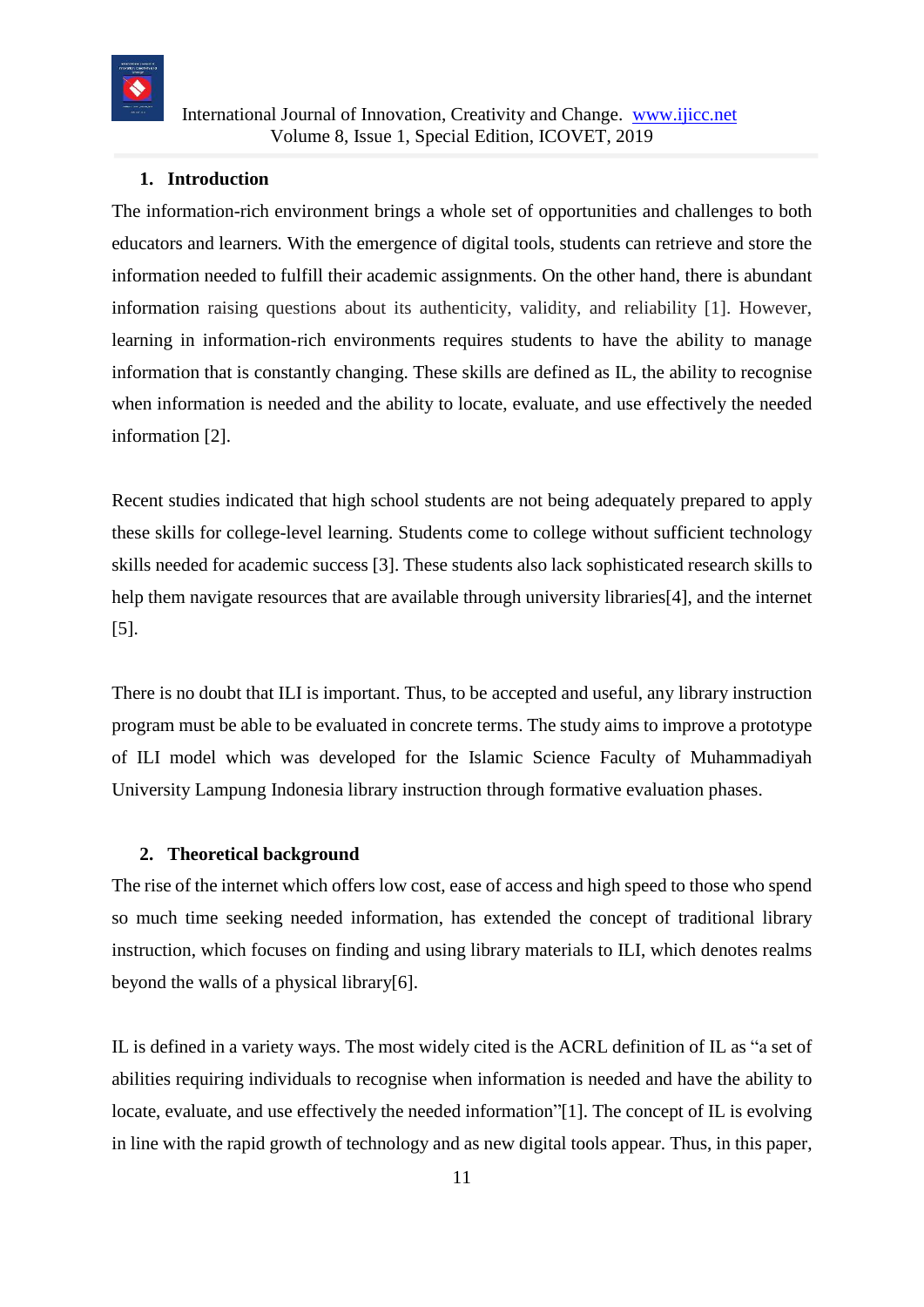

#### **1. Introduction**

The information-rich environment brings a whole set of opportunities and challenges to both educators and learners*.* With the emergence of digital tools, students can retrieve and store the information needed to fulfill their academic assignments. On the other hand, there is abundant information raising questions about its authenticity, validity, and reliability [1]. However, learning in information-rich environments requires students to have the ability to manage information that is constantly changing. These skills are defined as IL, the ability to recognise when information is needed and the ability to locate, evaluate, and use effectively the needed information [2].

Recent studies indicated that high school students are not being adequately prepared to apply these skills for college-level learning. Students come to college without sufficient technology skills needed for academic success [3]. These students also lack sophisticated research skills to help them navigate resources that are available through university libraries[4], and the internet [5].

There is no doubt that ILI is important. Thus, to be accepted and useful, any library instruction program must be able to be evaluated in concrete terms. The study aims to improve a prototype of ILI model which was developed for the Islamic Science Faculty of Muhammadiyah University Lampung Indonesia library instruction through formative evaluation phases.

#### **2. Theoretical background**

The rise of the internet which offers low cost, ease of access and high speed to those who spend so much time seeking needed information, has extended the concept of traditional library instruction, which focuses on finding and using library materials to ILI, which denotes realms beyond the walls of a physical library[6].

IL is defined in a variety ways. The most widely cited is the ACRL definition of IL as "a set of abilities requiring individuals to recognise when information is needed and have the ability to locate, evaluate, and use effectively the needed information"[1]. The concept of IL is evolving in line with the rapid growth of technology and as new digital tools appear. Thus, in this paper,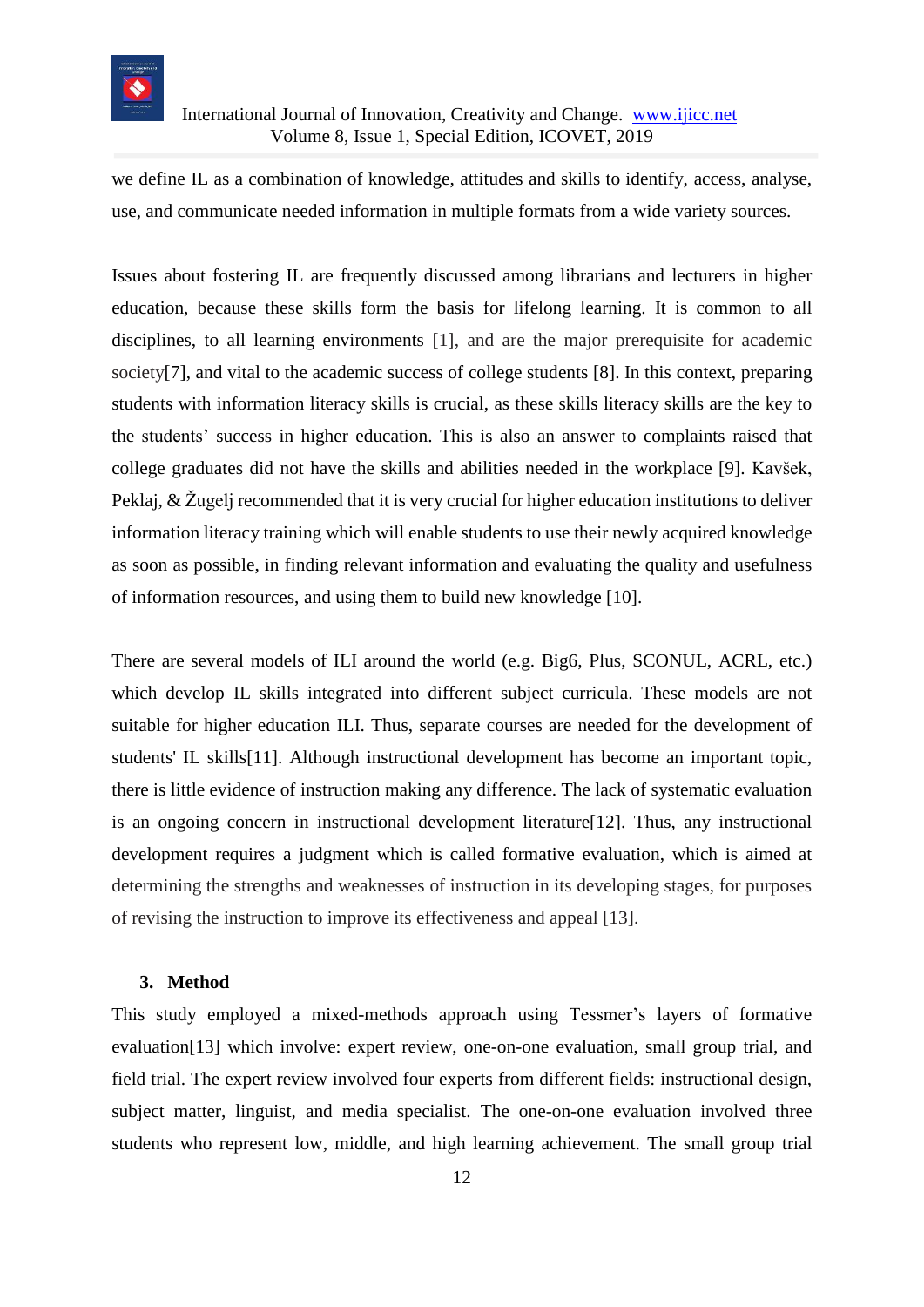

we define IL as a combination of knowledge, attitudes and skills to identify, access, analyse, use, and communicate needed information in multiple formats from a wide variety sources.

Issues about fostering IL are frequently discussed among librarians and lecturers in higher education, because these skills form the basis for lifelong learning. It is common to all disciplines, to all learning environments [1], and are the major prerequisite for academic society[7], and vital to the academic success of college students [8]. In this context, preparing students with information literacy skills is crucial, as these skills literacy skills are the key to the students' success in higher education. This is also an answer to complaints raised that college graduates did not have the skills and abilities needed in the workplace [9]. Kavšek, Peklaj, & Žugelj recommended that it is very crucial for higher education institutions to deliver information literacy training which will enable students to use their newly acquired knowledge as soon as possible, in finding relevant information and evaluating the quality and usefulness of information resources, and using them to build new knowledge [10].

There are several models of ILI around the world (e.g. Big6, Plus, SCONUL, ACRL, etc.) which develop IL skills integrated into different subject curricula. These models are not suitable for higher education ILI. Thus, separate courses are needed for the development of students' IL skills[11]. Although instructional development has become an important topic, there is little evidence of instruction making any difference. The lack of systematic evaluation is an ongoing concern in instructional development literature[12]. Thus, any instructional development requires a judgment which is called formative evaluation, which is aimed at determining the strengths and weaknesses of instruction in its developing stages, for purposes of revising the instruction to improve its effectiveness and appeal [13].

#### **3. Method**

This study employed a mixed-methods approach using Tessmer's layers of formative evaluation[13] which involve: expert review, one-on-one evaluation, small group trial, and field trial. The expert review involved four experts from different fields: instructional design, subject matter, linguist, and media specialist. The one-on-one evaluation involved three students who represent low, middle, and high learning achievement. The small group trial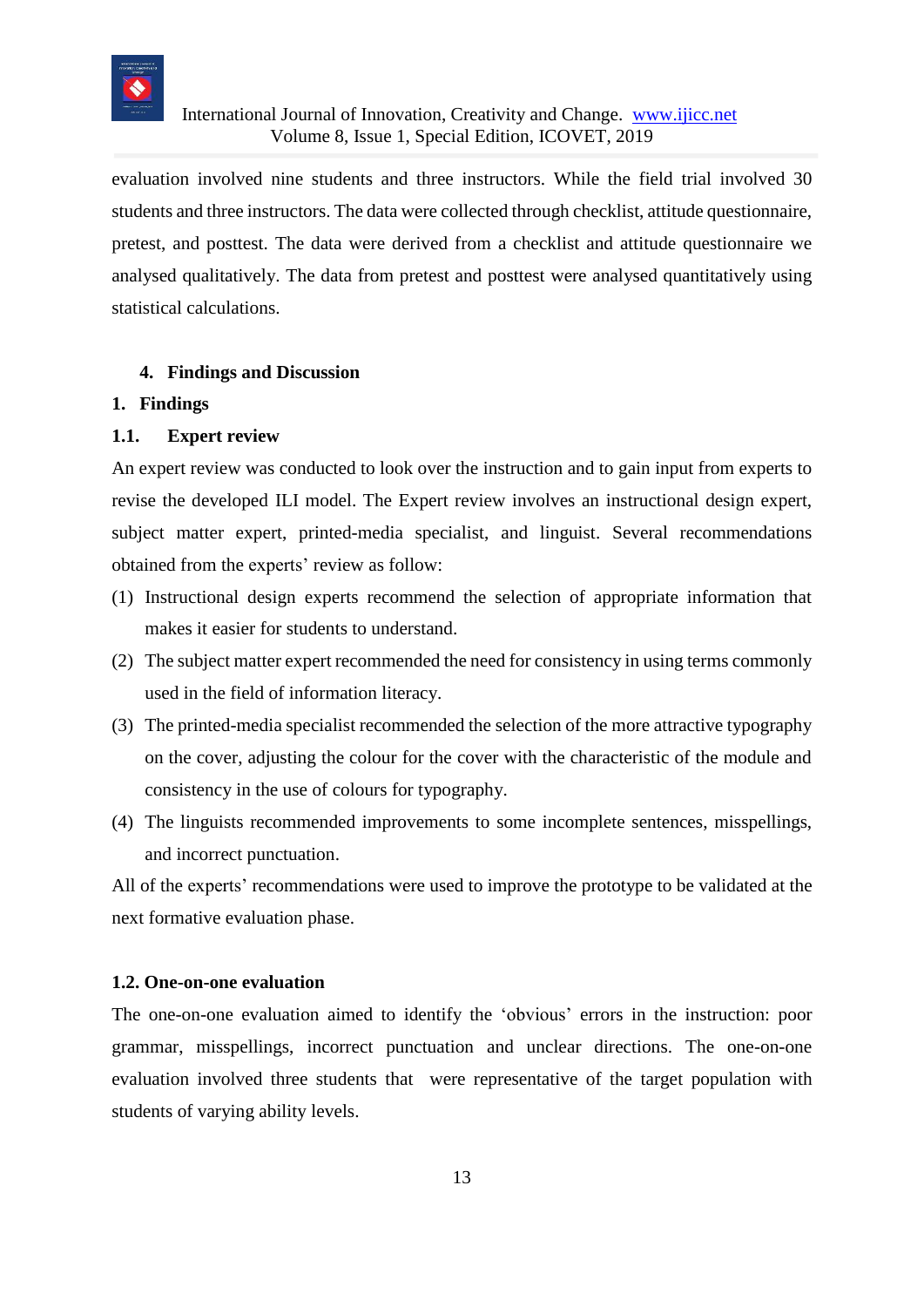

evaluation involved nine students and three instructors. While the field trial involved 30 students and three instructors. The data were collected through checklist, attitude questionnaire, pretest, and posttest. The data were derived from a checklist and attitude questionnaire we analysed qualitatively. The data from pretest and posttest were analysed quantitatively using statistical calculations.

## **4. Findings and Discussion**

#### **1. Findings**

## **1.1. Expert review**

An expert review was conducted to look over the instruction and to gain input from experts to revise the developed ILI model. The Expert review involves an instructional design expert, subject matter expert, printed-media specialist, and linguist. Several recommendations obtained from the experts' review as follow:

- (1) Instructional design experts recommend the selection of appropriate information that makes it easier for students to understand.
- (2) The subject matter expert recommended the need for consistency in using terms commonly used in the field of information literacy.
- (3) The printed-media specialist recommended the selection of the more attractive typography on the cover, adjusting the colour for the cover with the characteristic of the module and consistency in the use of colours for typography.
- (4) The linguists recommended improvements to some incomplete sentences, misspellings, and incorrect punctuation.

All of the experts' recommendations were used to improve the prototype to be validated at the next formative evaluation phase.

#### **1.2. One-on-one evaluation**

The one-on-one evaluation aimed to identify the 'obvious' errors in the instruction: poor grammar, misspellings, incorrect punctuation and unclear directions. The one-on-one evaluation involved three students that were representative of the target population with students of varying ability levels.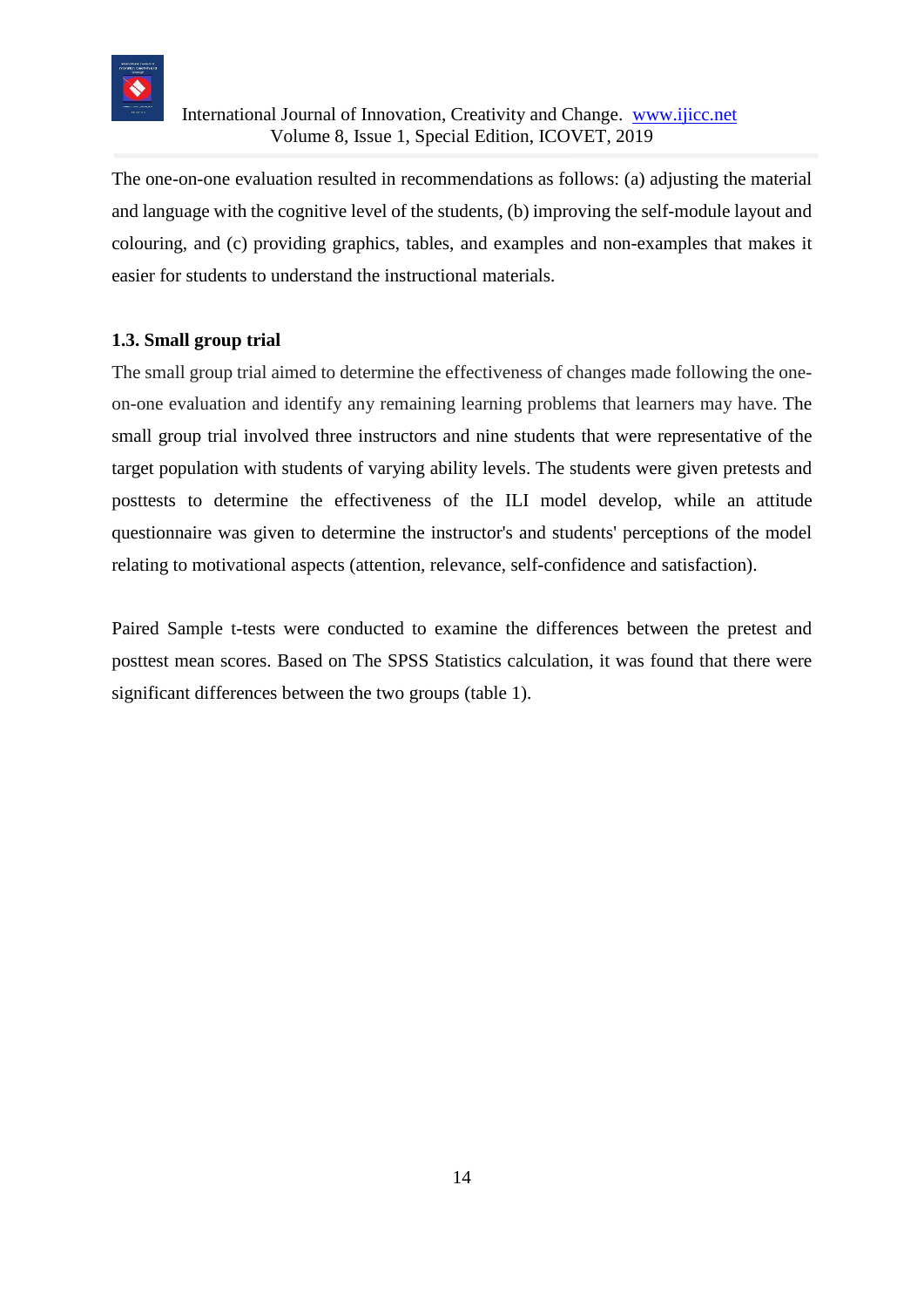

The one-on-one evaluation resulted in recommendations as follows: (a) adjusting the material and language with the cognitive level of the students, (b) improving the self-module layout and colouring, and (c) providing graphics, tables, and examples and non-examples that makes it easier for students to understand the instructional materials.

## **1.3. Small group trial**

The small group trial aimed to determine the effectiveness of changes made following the oneon-one evaluation and identify any remaining learning problems that learners may have. The small group trial involved three instructors and nine students that were representative of the target population with students of varying ability levels. The students were given pretests and posttests to determine the effectiveness of the ILI model develop, while an attitude questionnaire was given to determine the instructor's and students' perceptions of the model relating to motivational aspects (attention, relevance, self-confidence and satisfaction).

Paired Sample t-tests were conducted to examine the differences between the pretest and posttest mean scores. Based on The SPSS Statistics calculation, it was found that there were significant differences between the two groups (table 1).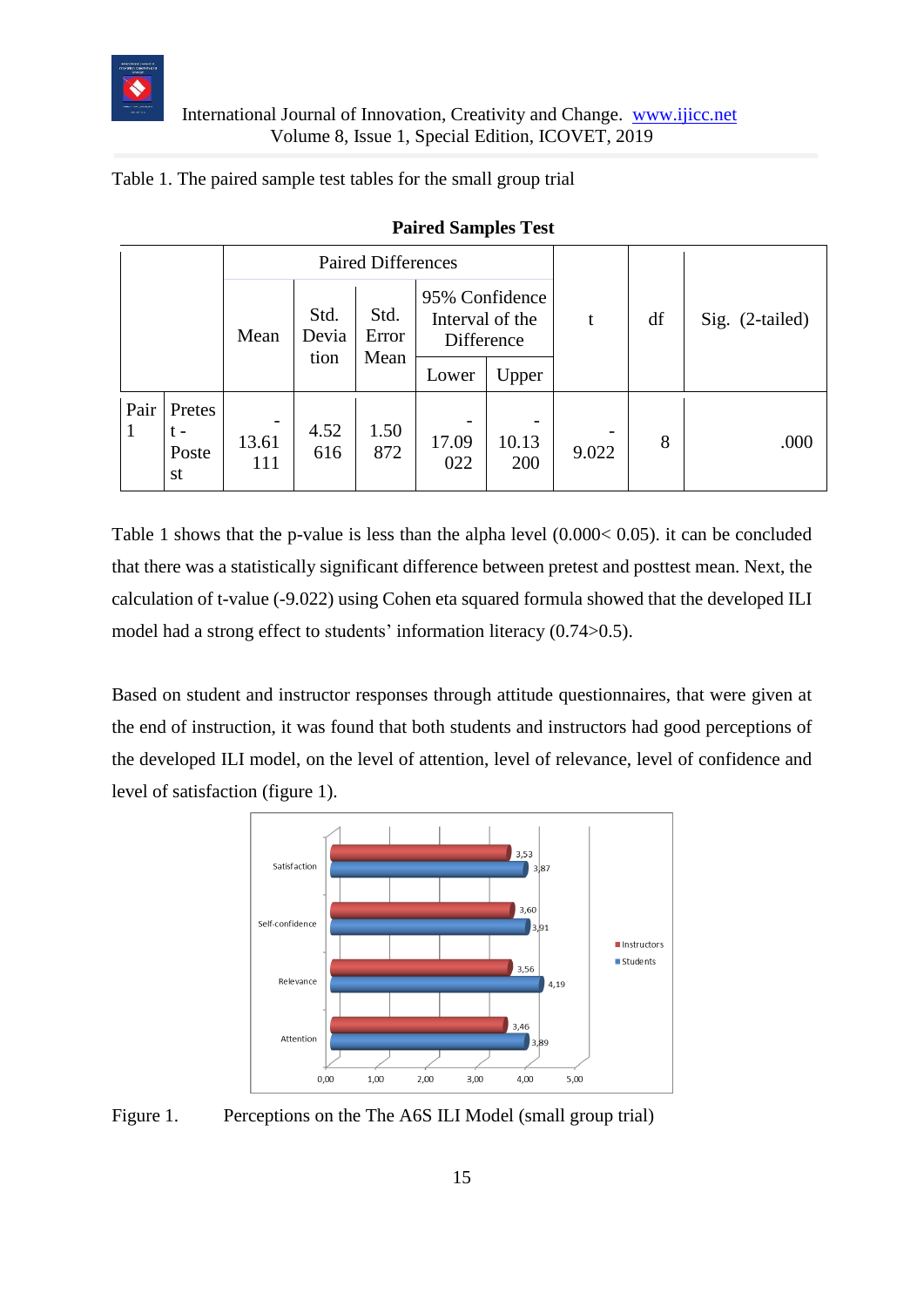

## Table 1. The paired sample test tables for the small group trial

|                      |                                |              |                       | <b>Paired Differences</b> |                                                 | t                                        | df    | Sig. (2-tailed) |      |
|----------------------|--------------------------------|--------------|-----------------------|---------------------------|-------------------------------------------------|------------------------------------------|-------|-----------------|------|
|                      |                                | Mean         | Std.<br>Devia<br>tion | Std.<br>Error<br>Mean     | 95% Confidence<br>Interval of the<br>Difference |                                          |       |                 |      |
|                      |                                |              |                       |                           | Lower                                           | Upper                                    |       |                 |      |
| Pair<br>$\mathbf{1}$ | Pretes<br>$t -$<br>Poste<br>st | 13.61<br>111 | 4.52<br>616           | 1.50<br>872               | 17.09<br>022                                    | $\overline{\phantom{0}}$<br>10.13<br>200 | 9.022 | 8               | .000 |

#### **Paired Samples Test**

Table 1 shows that the p-value is less than the alpha level (0.000< 0.05). it can be concluded that there was a statistically significant difference between pretest and posttest mean. Next, the calculation of t-value (-9.022) using Cohen eta squared formula showed that the developed ILI model had a strong effect to students' information literacy (0.74>0.5).

Based on student and instructor responses through attitude questionnaires, that were given at the end of instruction, it was found that both students and instructors had good perceptions of the developed ILI model, on the level of attention, level of relevance, level of confidence and level of satisfaction (figure 1).



Figure 1. Perceptions on the The A6S ILI Model (small group trial)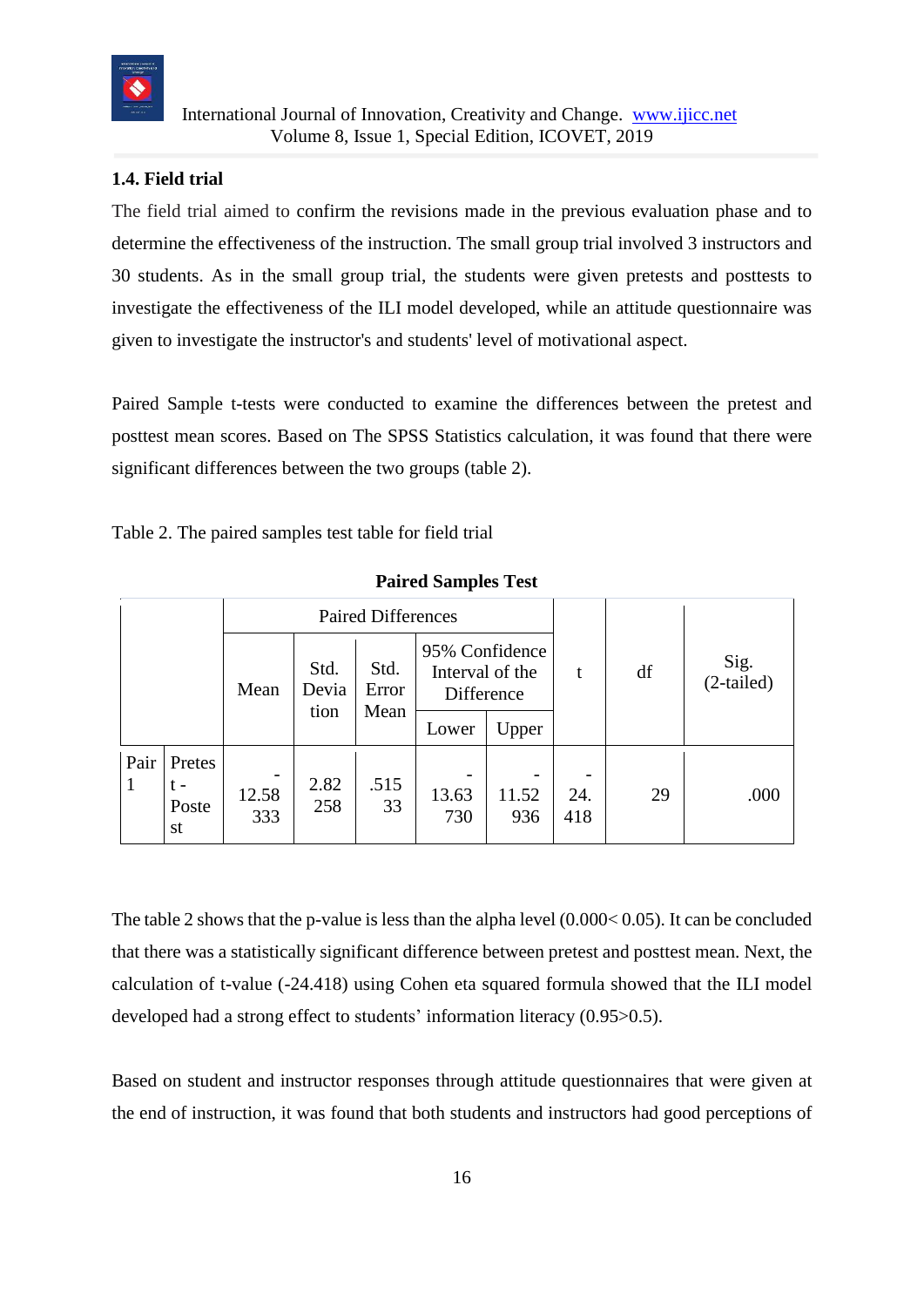

## **1.4. Field trial**

The field trial aimed to confirm the revisions made in the previous evaluation phase and to determine the effectiveness of the instruction. The small group trial involved 3 instructors and 30 students. As in the small group trial, the students were given pretests and posttests to investigate the effectiveness of the ILI model developed, while an attitude questionnaire was given to investigate the instructor's and students' level of motivational aspect.

Paired Sample t-tests were conducted to examine the differences between the pretest and posttest mean scores. Based on The SPSS Statistics calculation, it was found that there were significant differences between the two groups (table 2).

| $=$ wested by weapper $=$ 500 |                              |                           |                       |                       |                                                 |              |            |    |                      |  |  |
|-------------------------------|------------------------------|---------------------------|-----------------------|-----------------------|-------------------------------------------------|--------------|------------|----|----------------------|--|--|
|                               |                              | <b>Paired Differences</b> |                       |                       |                                                 |              |            |    |                      |  |  |
|                               |                              | Mean                      | Std.<br>Devia<br>tion | Std.<br>Error<br>Mean | 95% Confidence<br>Interval of the<br>Difference |              | t          | df | Sig.<br>$(2-tailed)$ |  |  |
|                               |                              |                           |                       |                       | Lower                                           | Upper        |            |    |                      |  |  |
| Pair<br>1                     | Pretes<br>t –<br>Poste<br>st | 12.58<br>333              | 2.82<br>258           | .515<br>33            | 13.63<br>730                                    | 11.52<br>936 | 24.<br>418 | 29 | .000                 |  |  |

**Paired Samples Test**

The table 2 shows that the p-value is less than the alpha level (0.000< 0.05). It can be concluded that there was a statistically significant difference between pretest and posttest mean. Next, the calculation of t-value (-24.418) using Cohen eta squared formula showed that the ILI model developed had a strong effect to students' information literacy (0.95>0.5).

Based on student and instructor responses through attitude questionnaires that were given at the end of instruction, it was found that both students and instructors had good perceptions of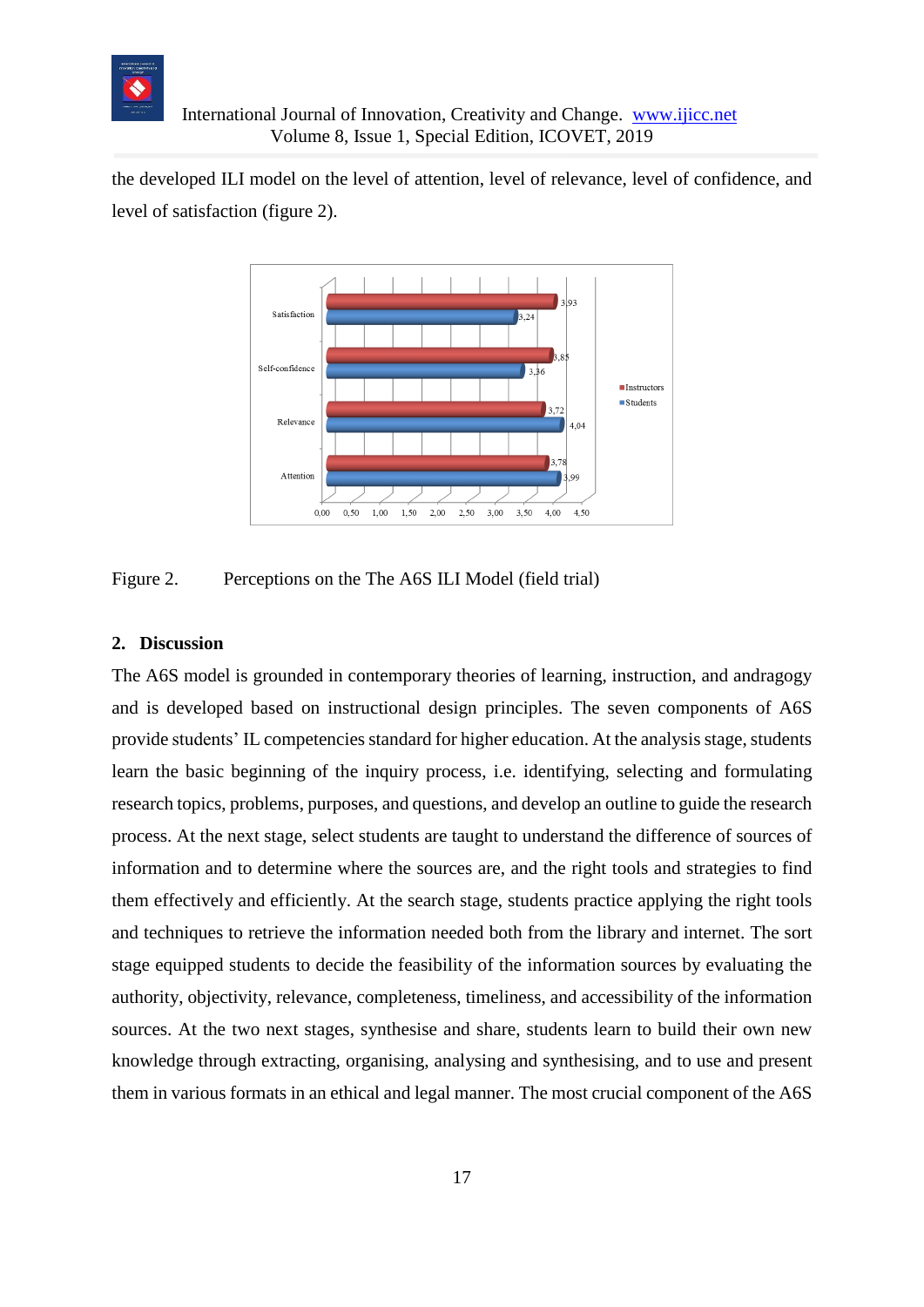

### International Journal of Innovation, Creativity and Change. [www.ijicc.net](http://www.ijicc.net/) Volume 8, Issue 1, Special Edition, ICOVET, 2019

the developed ILI model on the level of attention, level of relevance, level of confidence, and level of satisfaction (figure 2).



Figure 2. Perceptions on the The A6S ILI Model (field trial)

### **2. Discussion**

The A6S model is grounded in contemporary theories of learning, instruction, and andragogy and is developed based on instructional design principles. The seven components of A6S provide students' IL competencies standard for higher education. At the analysis stage, students learn the basic beginning of the inquiry process, i.e. identifying, selecting and formulating research topics, problems, purposes, and questions, and develop an outline to guide the research process. At the next stage, select students are taught to understand the difference of sources of information and to determine where the sources are, and the right tools and strategies to find them effectively and efficiently. At the search stage, students practice applying the right tools and techniques to retrieve the information needed both from the library and internet. The sort stage equipped students to decide the feasibility of the information sources by evaluating the authority, objectivity, relevance, completeness, timeliness, and accessibility of the information sources. At the two next stages, synthesise and share, students learn to build their own new knowledge through extracting, organising, analysing and synthesising, and to use and present them in various formats in an ethical and legal manner. The most crucial component of the A6S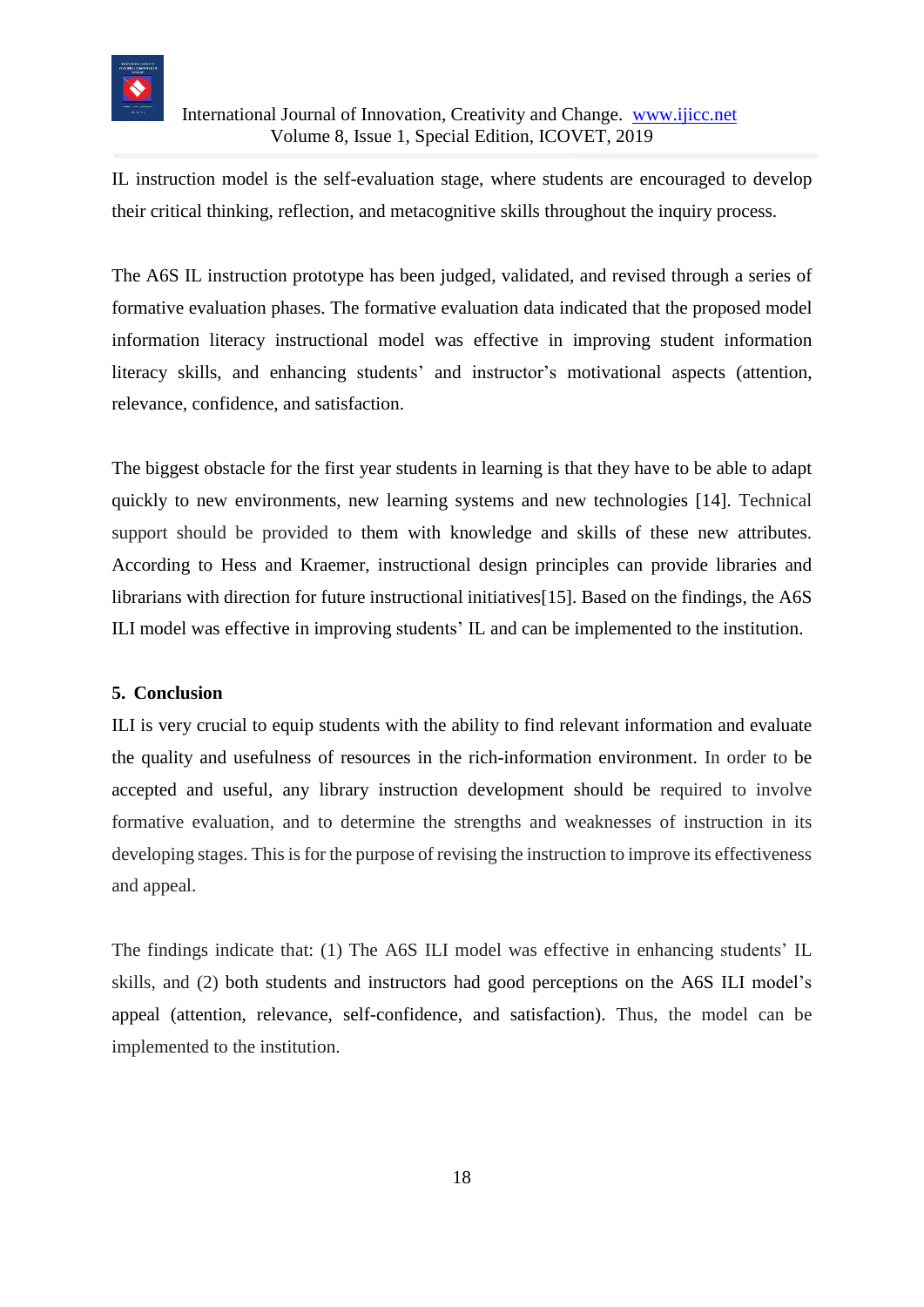

## International Journal of Innovation, Creativity and Change. [www.ijicc.net](http://www.ijicc.net/) Volume 8, Issue 1, Special Edition, ICOVET, 2019

IL instruction model is the self-evaluation stage, where students are encouraged to develop their critical thinking, reflection, and metacognitive skills throughout the inquiry process.

The A6S IL instruction prototype has been judged, validated, and revised through a series of formative evaluation phases. The formative evaluation data indicated that the proposed model information literacy instructional model was effective in improving student information literacy skills, and enhancing students' and instructor's motivational aspects (attention, relevance, confidence, and satisfaction.

The biggest obstacle for the first year students in learning is that they have to be able to adapt quickly to new environments, new learning systems and new technologies [14]. Technical support should be provided to them with knowledge and skills of these new attributes. According to Hess and Kraemer, instructional design principles can provide libraries and librarians with direction for future instructional initiatives[15]. Based on the findings, the A6S ILI model was effective in improving students' IL and can be implemented to the institution.

## **5. Conclusion**

ILI is very crucial to equip students with the ability to find relevant information and evaluate the quality and usefulness of resources in the rich-information environment. In order to be accepted and useful, any library instruction development should be required to involve formative evaluation, and to determine the strengths and weaknesses of instruction in its developing stages. This is for the purpose of revising the instruction to improve its effectiveness and appeal.

The findings indicate that: (1) The A6S ILI model was effective in enhancing students' IL skills, and (2) both students and instructors had good perceptions on the A6S ILI model's appeal (attention, relevance, self-confidence, and satisfaction). Thus, the model can be implemented to the institution.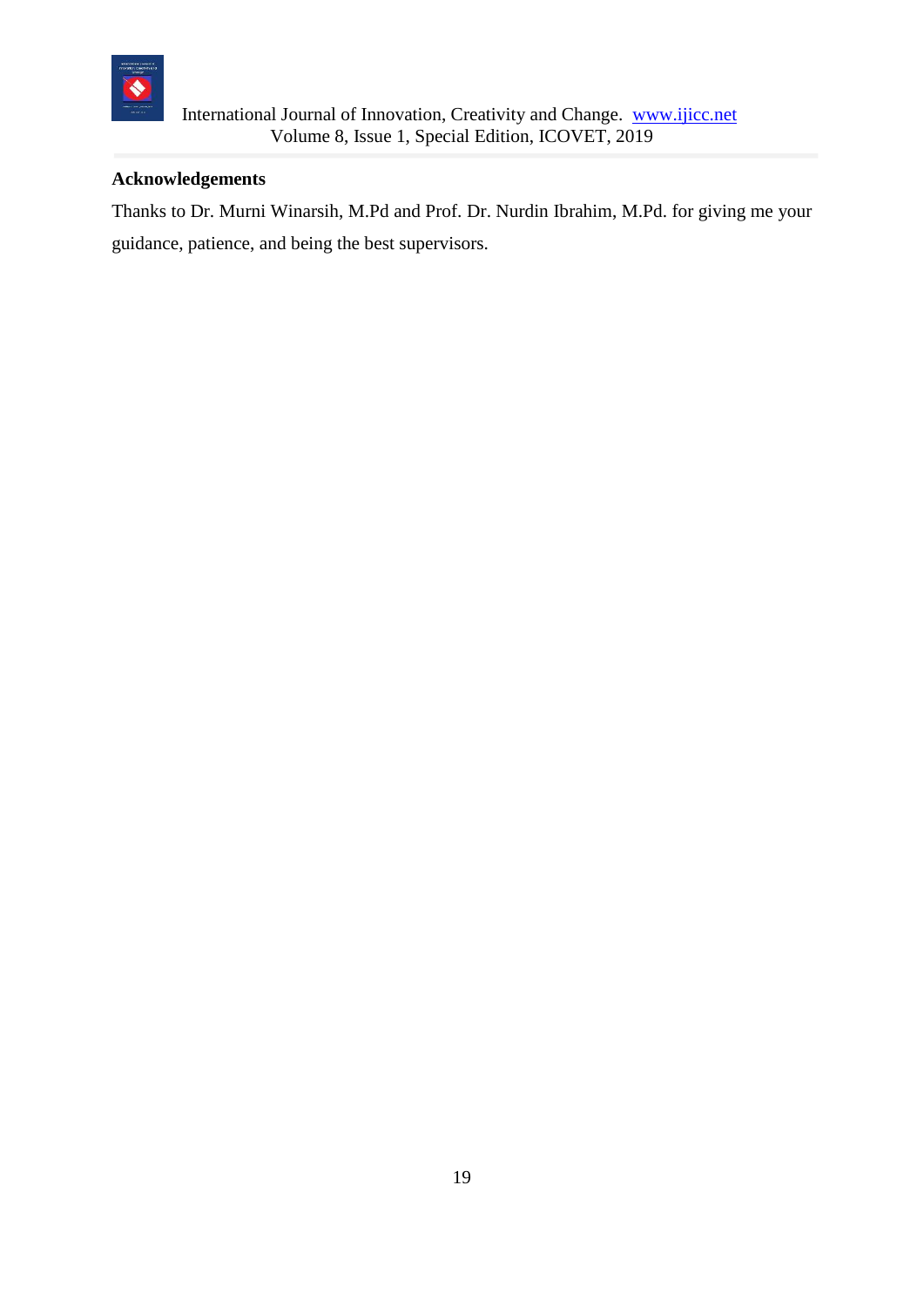

## **Acknowledgements**

Thanks to Dr. Murni Winarsih, M.Pd and Prof. Dr. Nurdin Ibrahim, M.Pd. for giving me your guidance, patience, and being the best supervisors.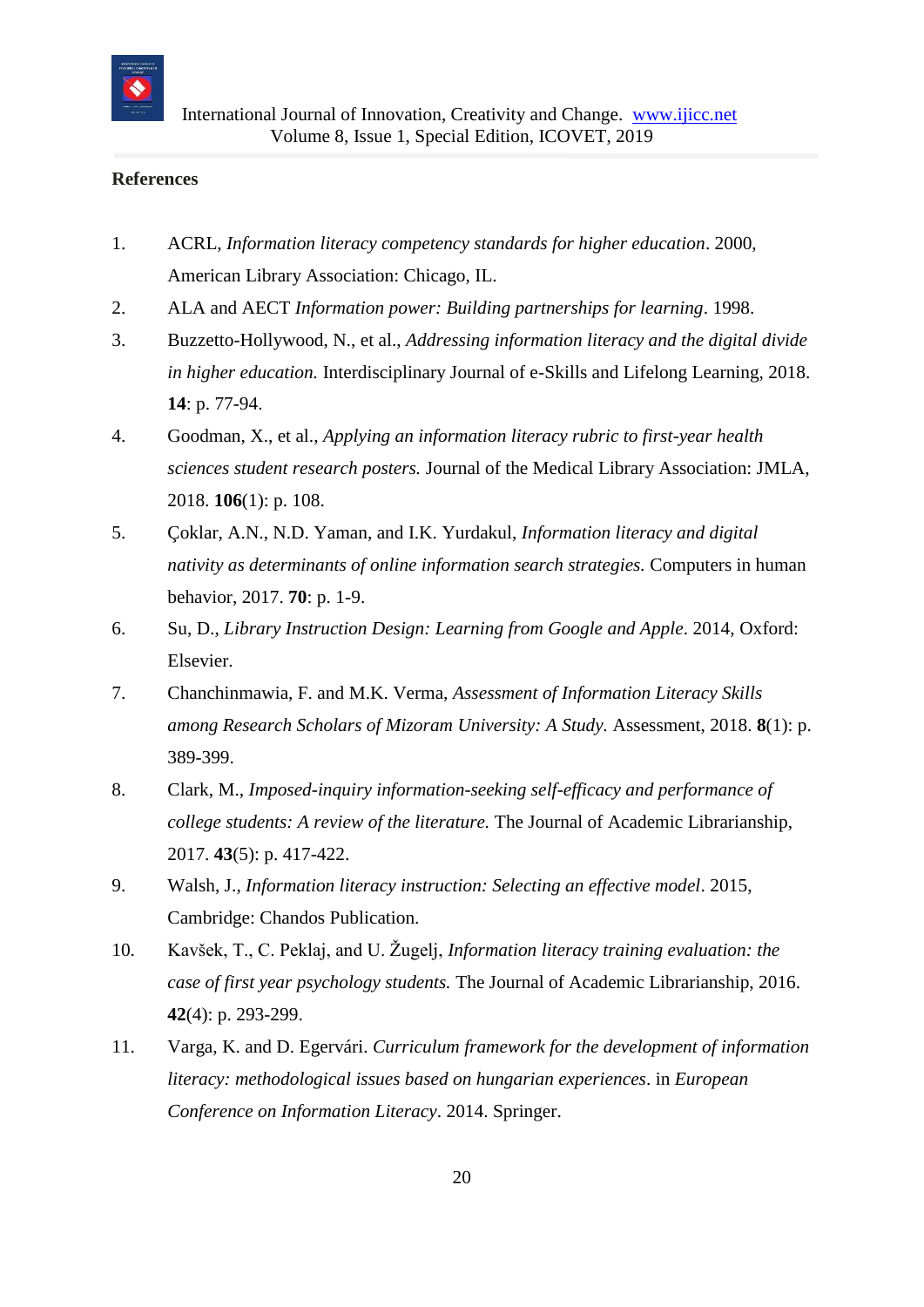

#### **References**

- 1. ACRL, *Information literacy competency standards for higher education*. 2000, American Library Association: Chicago, IL.
- 2. ALA and AECT *Information power: Building partnerships for learning*. 1998.
- 3. Buzzetto-Hollywood, N., et al., *Addressing information literacy and the digital divide in higher education.* Interdisciplinary Journal of e-Skills and Lifelong Learning, 2018. **14**: p. 77-94.
- 4. Goodman, X., et al., *Applying an information literacy rubric to first-year health sciences student research posters.* Journal of the Medical Library Association: JMLA, 2018. **106**(1): p. 108.
- 5. Çoklar, A.N., N.D. Yaman, and I.K. Yurdakul, *Information literacy and digital nativity as determinants of online information search strategies.* Computers in human behavior, 2017. **70**: p. 1-9.
- 6. Su, D., *Library Instruction Design: Learning from Google and Apple*. 2014, Oxford: Elsevier.
- 7. Chanchinmawia, F. and M.K. Verma, *Assessment of Information Literacy Skills among Research Scholars of Mizoram University: A Study.* Assessment, 2018. **8**(1): p. 389-399.
- 8. Clark, M., *Imposed-inquiry information-seeking self-efficacy and performance of college students: A review of the literature.* The Journal of Academic Librarianship, 2017. **43**(5): p. 417-422.
- 9. Walsh, J., *Information literacy instruction: Selecting an effective model*. 2015, Cambridge: Chandos Publication.
- 10. Kavšek, T., C. Peklaj, and U. Žugelj, *Information literacy training evaluation: the case of first year psychology students.* The Journal of Academic Librarianship, 2016. **42**(4): p. 293-299.
- 11. Varga, K. and D. Egervári. *Curriculum framework for the development of information literacy: methodological issues based on hungarian experiences*. in *European Conference on Information Literacy*. 2014. Springer.